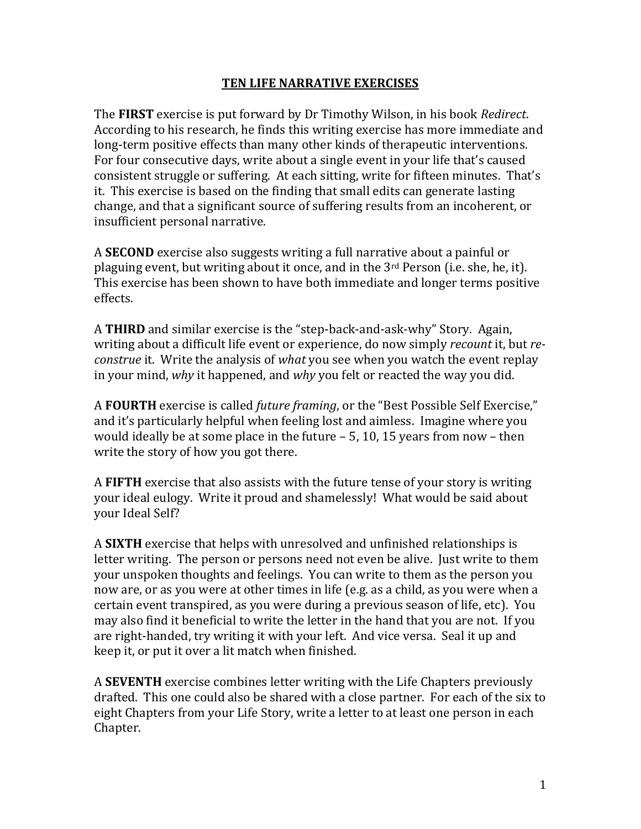## **TEN LIFE NARRATIVE EXERCISES**

The **FIRST** exercise is put forward by Dr Timothy Wilson, in his book *Redirect*. According to his research, he finds this writing exercise has more immediate and long-term positive effects than many other kinds of therapeutic interventions. For four consecutive days, write about a single event in your life that's caused consistent struggle or suffering. At each sitting, write for fifteen minutes. That's it. This exercise is based on the finding that small edits can generate lasting change, and that a significant source of suffering results from an incoherent, or insufficient personal narrative.

A **SECOND** exercise also suggests writing a full narrative about a painful or plaguing event, but writing about it once, and in the 3rd Person (i.e. she, he, it). This exercise has been shown to have both immediate and longer terms positive effects.

A **THIRD** and similar exercise is the "step-back-and-ask-why" Story. Again, writing about a difficult life event or experience, do now simply *recount* it, but *reconstrue* it. Write the analysis of *what* you see when you watch the event replay in your mind, *why* it happened, and *why* you felt or reacted the way you did.

A **FOURTH** exercise is called *future framing*, or the "Best Possible Self Exercise," and it's particularly helpful when feeling lost and aimless. Imagine where you would ideally be at some place in the future – 5, 10, 15 years from now – then write the story of how you got there.

A **FIFTH** exercise that also assists with the future tense of your story is writing your ideal eulogy. Write it proud and shamelessly! What would be said about your Ideal Self?

A **SIXTH** exercise that helps with unresolved and unfinished relationships is letter writing. The person or persons need not even be alive. Just write to them your unspoken thoughts and feelings. You can write to them as the person you now are, or as you were at other times in life (e.g. as a child, as you were when a certain event transpired, as you were during a previous season of life, etc). You may also find it beneficial to write the letter in the hand that you are not. If you are right-handed, try writing it with your left. And vice versa. Seal it up and keep it, or put it over a lit match when finished.

A **SEVENTH** exercise combines letter writing with the Life Chapters previously drafted. This one could also be shared with a close partner. For each of the six to eight Chapters from your Life Story, write a letter to at least one person in each Chapter.